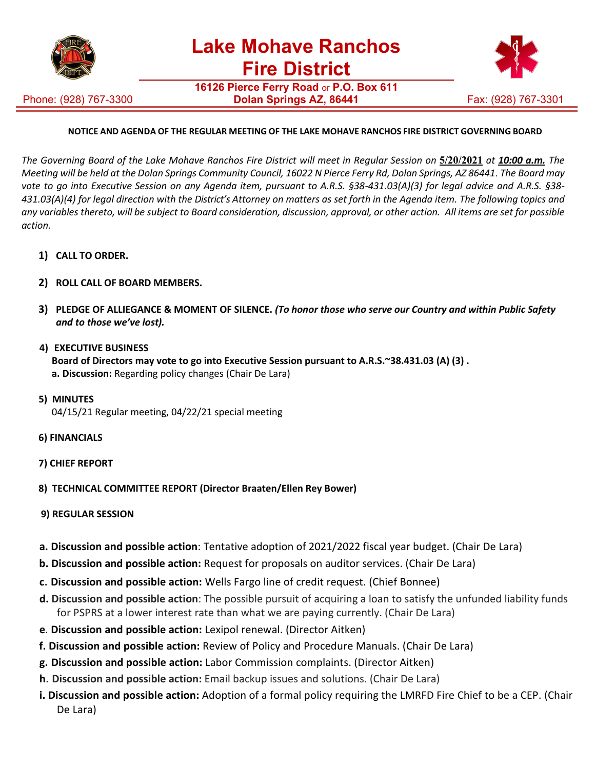

**16126 Pierce Ferry Road** or **P.O. Box 611**

Phone: (928) 767-3300



## **NOTICE AND AGENDA OF THE REGULAR MEETING OF THE LAKE MOHAVE RANCHOS FIRE DISTRICT GOVERNING BOARD**

The Governing Board of the Lake Mohave Ranchos Fire District will meet in Regular Session on 5/20/2021 at 10:00 a.m. The *Meeting will be held at the Dolan Springs Community Council, 16022 N Pierce Ferry Rd, Dolan Springs, AZ 86441*. *The Board may vote to go into Executive Session on any Agenda item, pursuant to A.R.S. §38-431.03(A)(3) for legal advice and A.R.S. §38-* 431.03(A)(4) for legal direction with the District's Attorney on matters as set forth in the Agenda item. The following topics and *any variables thereto, will be subject to Board consideration, discussion, approval, or other action. All items are set for possible action.*

- **1) CALL TO ORDER.**
- **2) ROLL CALL OF BOARD MEMBERS.**
- **3) PLEDGE OF ALLIEGANCE & MOMENT OF SILENCE.** *(To honor those who serve our Country and within Public Safety and to those we've lost).*
- **4) EXECUTIVE BUSINESS Board of Directors may vote to go into Executive Session pursuant to A.R.S.~38.431.03 (A) (3) . a. Discussion:** Regarding policy changes (Chair De Lara)
- **5) MINUTES**  04/15/21 Regular meeting, 04/22/21 special meeting
- **6) FINANCIALS**
- **7) CHIEF REPORT**
- **8) TECHNICAL COMMITTEE REPORT (Director Braaten/Ellen Rey Bower)**
- **9) REGULAR SESSION**
- **a. Discussion and possible action**: Tentative adoption of 2021/2022 fiscal year budget. (Chair De Lara)
- **b. Discussion and possible action:** Request for proposals on auditor services. (Chair De Lara)
- **c**. **Discussion and possible action:** Wells Fargo line of credit request. (Chief Bonnee)
- **d. Discussion and possible action**: The possible pursuit of acquiring a loan to satisfy the unfunded liability funds for PSPRS at a lower interest rate than what we are paying currently. (Chair De Lara)
- **e**. **Discussion and possible action:** Lexipol renewal. (Director Aitken)
- **f. Discussion and possible action:** Review of Policy and Procedure Manuals. (Chair De Lara)
- **g. Discussion and possible action:** Labor Commission complaints. (Director Aitken)
- **h**. **Discussion and possible action:** Email backup issues and solutions. (Chair De Lara)
- **i. Discussion and possible action:** Adoption of a formal policy requiring the LMRFD Fire Chief to be a CEP. (Chair De Lara)